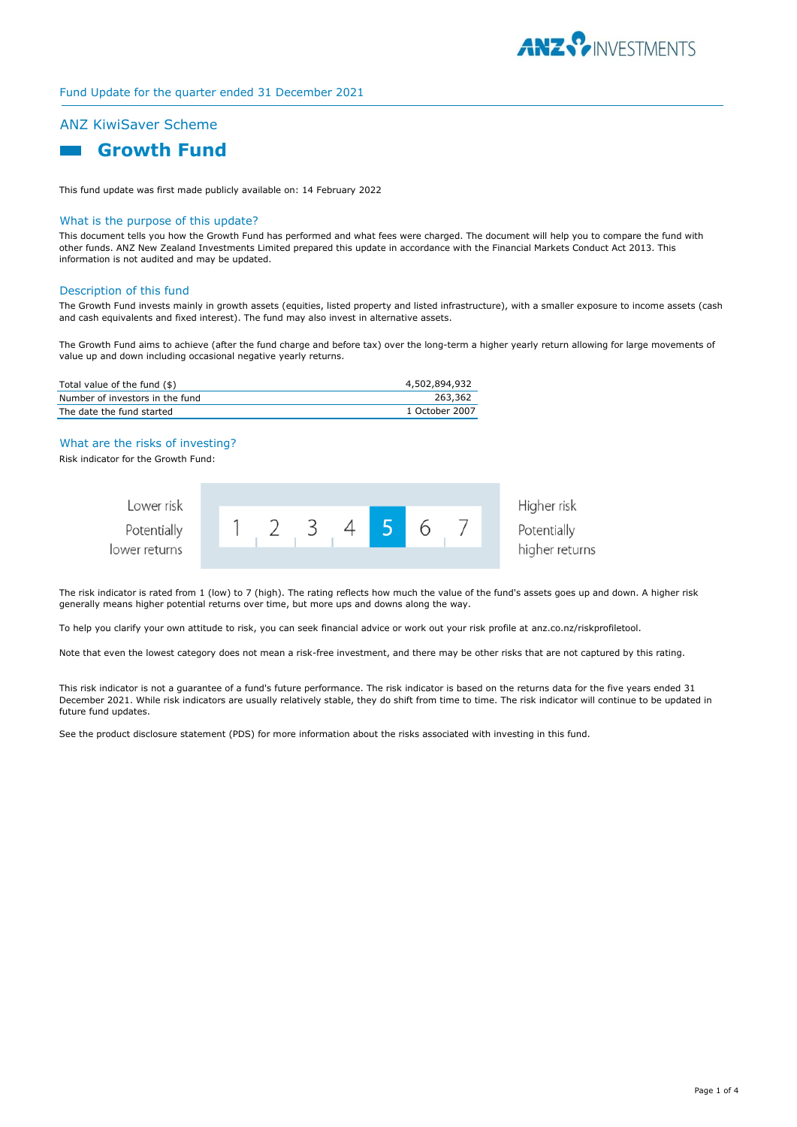

## Fund Update for the quarter ended 31 December 2021

# ANZ KiwiSaver Scheme



This fund update was first made publicly available on: 14 February 2022

#### What is the purpose of this update?

This document tells you how the Growth Fund has performed and what fees were charged. The document will help you to compare the fund with other funds. ANZ New Zealand Investments Limited prepared this update in accordance with the Financial Markets Conduct Act 2013. This information is not audited and may be updated.

#### Description of this fund

The Growth Fund invests mainly in growth assets (equities, listed property and listed infrastructure), with a smaller exposure to income assets (cash and cash equivalents and fixed interest). The fund may also invest in alternative assets.

The Growth Fund aims to achieve (after the fund charge and before tax) over the long-term a higher yearly return allowing for large movements of value up and down including occasional negative yearly returns.

| Total value of the fund (\$)    | 4,502,894,932  |
|---------------------------------|----------------|
| Number of investors in the fund | 263,362        |
| The date the fund started       | 1 October 2007 |

## What are the risks of investing?

Risk indicator for the Growth Fund:

| Lower risk    |  |  |  |  | Higher risk    |
|---------------|--|--|--|--|----------------|
| Potentially   |  |  |  |  | Potentially    |
| lower returns |  |  |  |  | higher returns |

The risk indicator is rated from 1 (low) to 7 (high). The rating reflects how much the value of the fund's assets goes up and down. A higher risk generally means higher potential returns over time, but more ups and downs along the way.

To help you clarify your own attitude to risk, you can seek financial advice or work out your risk profile at anz.co.nz/riskprofiletool.

Note that even the lowest category does not mean a risk-free investment, and there may be other risks that are not captured by this rating.

This risk indicator is not a guarantee of a fund's future performance. The risk indicator is based on the returns data for the five years ended 31 December 2021. While risk indicators are usually relatively stable, they do shift from time to time. The risk indicator will continue to be updated in future fund updates.

See the product disclosure statement (PDS) for more information about the risks associated with investing in this fund.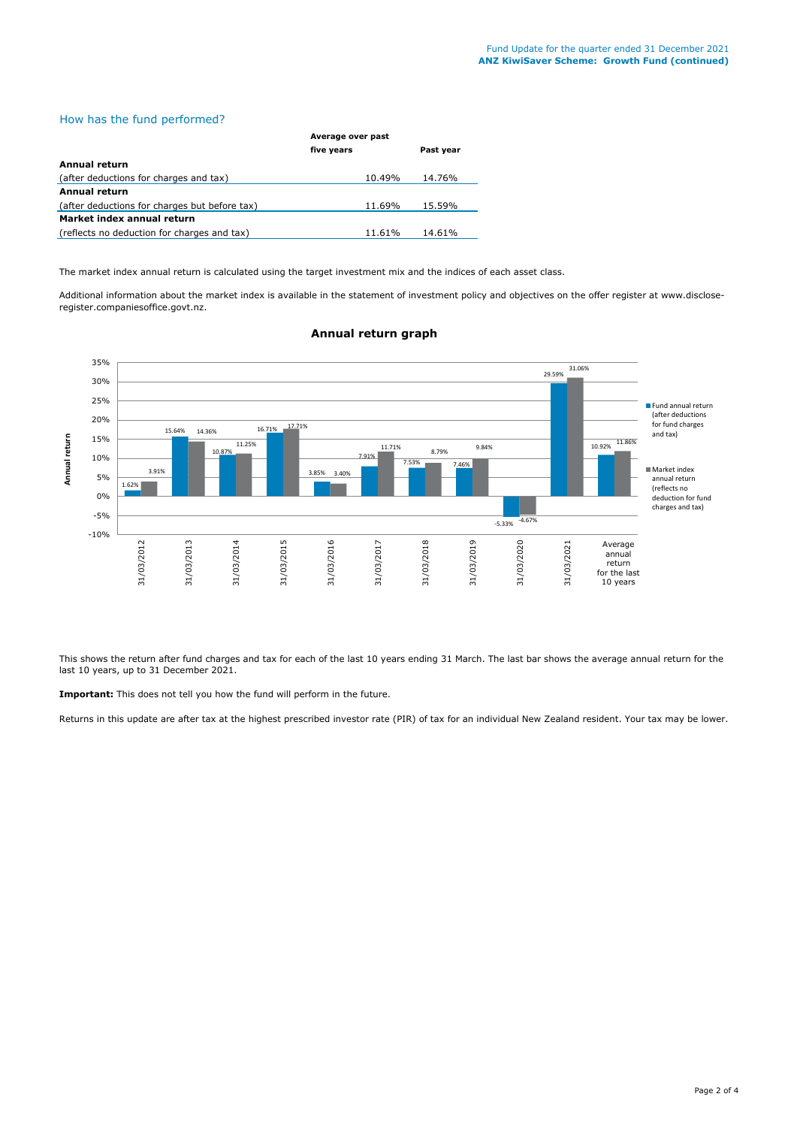# How has the fund performed?

|                                               | Average over past |           |  |
|-----------------------------------------------|-------------------|-----------|--|
|                                               | five years        | Past year |  |
| Annual return                                 |                   |           |  |
| (after deductions for charges and tax)        | 10.49%            | 14.76%    |  |
| <b>Annual return</b>                          |                   |           |  |
| (after deductions for charges but before tax) | 11.69%            | 15.59%    |  |
| Market index annual return                    |                   |           |  |
| (reflects no deduction for charges and tax)   | 11.61%            | 14.61%    |  |

The market index annual return is calculated using the target investment mix and the indices of each asset class.

Additional information about the market index is available in the statement of investment policy and objectives on the offer register at www.discloseregister.companiesoffice.govt.nz.



## **Annual return graph**

This shows the return after fund charges and tax for each of the last 10 years ending 31 March. The last bar shows the average annual return for the last 10 years, up to 31 December 2021.

**Important:** This does not tell you how the fund will perform in the future.

Returns in this update are after tax at the highest prescribed investor rate (PIR) of tax for an individual New Zealand resident. Your tax may be lower.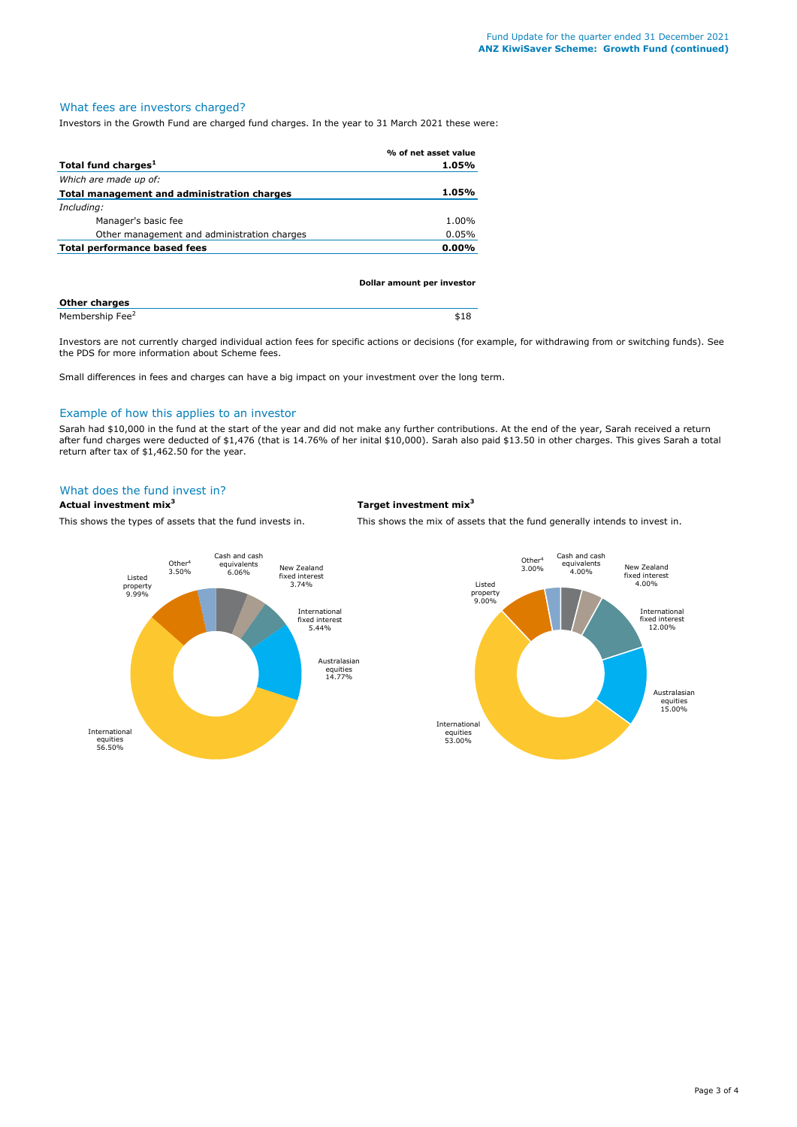## What fees are investors charged?

Investors in the Growth Fund are charged fund charges. In the year to 31 March 2021 these were:

|                                             | % of net asset value |
|---------------------------------------------|----------------------|
| Total fund charges <sup>1</sup>             | 1.05%                |
| Which are made up of:                       |                      |
| Total management and administration charges | 1.05%                |
| Including:                                  |                      |
| Manager's basic fee                         | 1.00%                |
| Other management and administration charges | 0.05%                |
| Total performance based fees                | $0.00\%$             |
|                                             |                      |

|                             | Dollar amount per investor |
|-----------------------------|----------------------------|
| <b>Other charges</b>        |                            |
| Membership Fee <sup>2</sup> | \$18                       |

Investors are not currently charged individual action fees for specific actions or decisions (for example, for withdrawing from or switching funds). See the PDS for more information about Scheme fees.

Small differences in fees and charges can have a big impact on your investment over the long term.

## Example of how this applies to an investor

Sarah had \$10,000 in the fund at the start of the year and did not make any further contributions. At the end of the year, Sarah received a return after fund charges were deducted of \$1,476 (that is 14.76% of her inital \$10,000). Sarah also paid \$13.50 in other charges. This gives Sarah a total return after tax of \$1,462.50 for the year.

## What does the fund invest in?

## **Actual investment mix<sup>3</sup> Target investment mix<sup>3</sup>**

This shows the types of assets that the fund invests in. This shows the mix of assets that the fund generally intends to invest in.